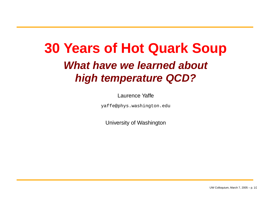# **30 Years of Hot Quark Soup What have we learned about high temperature QCD?**

Laurence Yaffe

yaffe@phys.washington.edu

University of Washington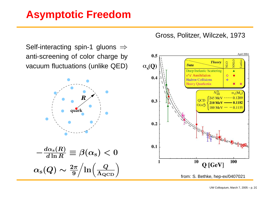## **Asymptotic Freedom**

Gross, Politzer, Wilczek, 1973

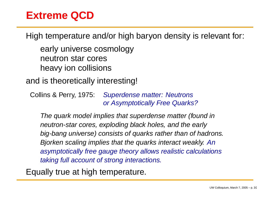#### **Extreme QCD**

High temperature and/or high baryon density is relevant for:

early universe cosmology neutron star cores heavy ion collisions

and is theoretically interesting!

Collins &**Superdense matter: Neutrons** or Asymptotically Free Quarks?

The quark model implies that superdense matter (found in neutron-star cores, exploding black holes, and the early big-bang universe) consists of quarks rather than of hadrons. Bjorken scaling implies that the quarks interact weakly. An asymptotically free gauge theory allows realistic calculations taking full account of strong interactions.

Equally true at high temperature.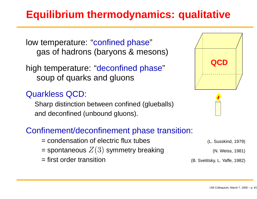# **Equilibrium thermodynamics: qualitative**

low temperature: "confined phase" gas of hadrons (baryons & mesons)

high temperature: "deconfined phase" soup of quarks and gluons

#### Quarkless QCD:

Sharp distinction between confined (glueballs) and deconfined (unbound gluons).

#### Confinement/deconfinement phase transition:

- = condensation of electric flux tubes (L. Susskind, 1979)
- == spontaneous  $Z(3)$  symmetry breaking  $\hphantom{\text{1}}\qquad\qquad\qquad$  (N. Weiss, 1981)
- = first order transition (B. Svetitsky, L. Yaffe, 1982)

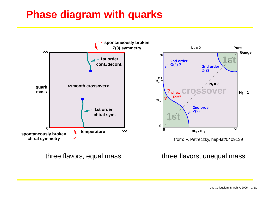## **Phase diagram with quarks**

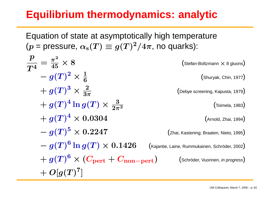# **Equilibrium thermodynamics: analytic**

Equation of state at asymptotically high temperature  $(p = \text{pressure}, \alpha_{\rm s}(T) \equiv g(T)^2/4\pi$ , no quarks):  $\boldsymbol{p}$  $\boldsymbol{T^4}$ =  $\pi^2$ 45 $(Stefan-Boltzmann \times 8 gluons)$ − $\displaystyle{-~g(T)^2\times \frac{1}{6}}$  (Shuryak, Chin, 1977)  $+ g(T)^3 \times \frac{2}{3\pi}$  (Debye screening, Kapusta, 1979)  $+ g(T)^4 \ln g(T) \times \frac{3}{2\pi^2}$  (Toimela, 1983)  $+ g(T)^4 \times 0.0304$  (Arnold, Zhai, 1994)  $g(T)^5 \times 0.2247$  (Zhai, Kastening; Braaten, Nieto, 1995) − $g\rm (g\,g)^6\ln g(T)\times 0.1426$  (Kajantie, Laine, Rummukainen, Schröder, 2002)  $+ \; g(T)^6 \times (C_{\rm pert} + C_{\rm non-pert})$  (Schröder, Vuorinen, *in progress*)  $+ O[g(T)^7]$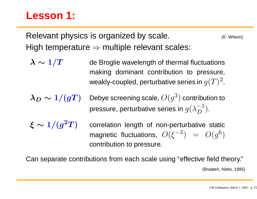#### **Lesson 1:**

Relevant physics is organized by scale. **Example 2018** (K. Wilson) High temperature  $\Rightarrow$  multiple relevant scales:

- $\boldsymbol{\lambda} \sim$ de Broglie wavelength of thermal fluctuations making dominant contribution to pressure, weakly-coupled, perturbative series in  $g(T)^2$ .
- $\lambda_D \sim 1/(gT)$ Debye screening scale,  $O(q^3)$  contribution to pressure, perturbative series in  $g(\lambda_D^{-1}).$
- 
- $\xi \sim 1/(g^2T)$  correlation length of non-perturbative static magnetic fluctuations,  $O(\xi^{-3}) = O(q^6)$ contribution to pressure.

Can separate contributions from each scale using "effective field theory." (Braaten, Nieto, 1995)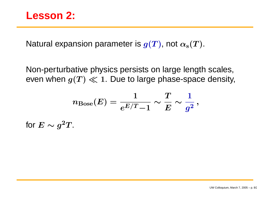Natural expansion parameter is  $g(T)$ , not  $\alpha_{\rm s}(T)$ .

Non-perturbative physics persists on large length scales, even when  $g(T) \ll 1.$  Due to large phase-space density,

$$
n_{\text{Bose}}(E) = \frac{1}{e^{E/T}-1} \sim \frac{T}{E} \sim \frac{1}{g^2} \,,
$$

for  $E\sim g^2 T$ .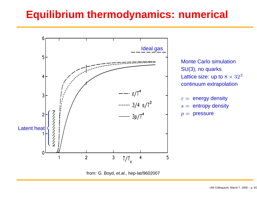# **Equilibrium thermodynamics: numerical**



Monte Carlo simulation SU(3), no quarks Lattice size: up to  $8\times 32^3$ continuum extrapolation

- $\varepsilon = \,$  energy density
- $s =$  entropy density
- $=$  pressure

from: G. Boyd, et.al., hep-lat/9602007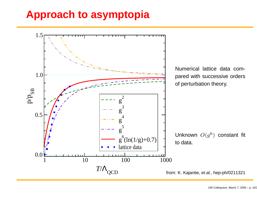#### **Approach to asymptopia**

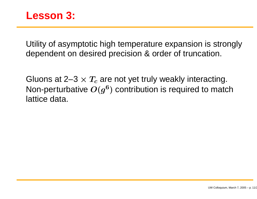#### **Lesson 3:**

Utility of asymptotic high temperature expansion is strongly dependent on desired precision & order of truncation.

Gluons at 2–3  $\times$   $T_c$  are not yet truly weakly interacting. Non-perturbative  $O(q^6)$  contribution is required to match lattice data.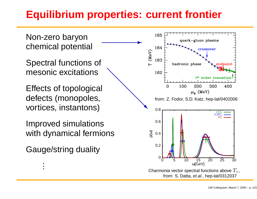# **Equilibrium properties: current frontier**

Non-zero baryon chemical potential

Spectral functions of mesonic excitations

c excitations<br>
of topological<br>
(monopoles,<br>
s instantons) Effects of topological defects (monopoles, vortices, instantons)

Improved simulations with dynamical fermions

Gauge/string duality

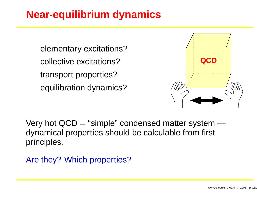# **Near-equilibrium dynamics**

elementary excitations? collective excitations? transport properties? equilibration dynamics?



Very hot  $QCD =$  "simple" condensed matter system dynamical properties should be calculable from first principles.

Are they? Which properties?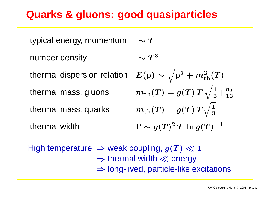#### **Quarks & gluons: good quasiparticles**

typical energy, momentum  $\sim T$ number density thermal dispersion relation thermal mass, gluons thermal mass, quarks thermal width Γ⊥  $\sim$ 

$$
\begin{array}{l} \sim T^3 \\ \displaystyle E({\rm p}) \sim \sqrt{{\rm p}^2 + m_{\rm th}^2(T)} \\[2ex] m_{\rm th}(T) = g(T) \, T \, \sqrt{\frac{1}{2} \! + \! \frac{n_f}{12}} \\[2ex] m_{\rm th}(T) = g(T) \, T \sqrt{\frac{1}{3}} \\[2ex] \displaystyle \Gamma \sim g(T)^2 \, T \, \ln g(T)^{-1} \end{array}
$$

High temperature  $\Rightarrow$  weak coupling,  $g(T) \ll 1$  $\Rightarrow$  thermal width  $\ll$  energy ⇒ long-lived, particle-like excitations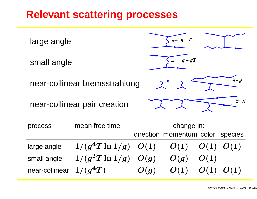#### **Relevant scattering processes**

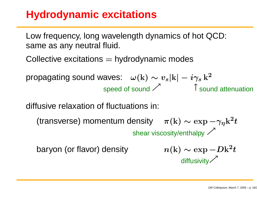# **Hydrodynamic excitations**

Low frequency, long wavelength dynamics of hot QCD: same as any neutral fluid.

Collective excitations  $=$  hydrodynamic modes

propagating sound waves:  $\omega(\mathbf{k}) \sim v_s |\mathbf{k}| - i \gamma_s k^2$ speed of sound  $\nearrow$  ↑ sound attenuation

diffusive relaxation of fluctuations in:

(transverse) momentum density  $\pi(k) \sim \exp(-\gamma_n k^2 t)$ shear viscosity/enthalpy  $\nearrow$ 

baryon (or flavor) density

$$
n(\mathbf{k}) \sim \exp{-D\mathbf{k}^2 t}
$$
diffusivity<sup>7</sup>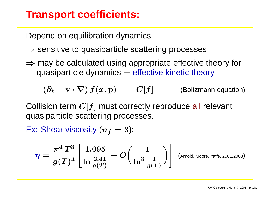#### **Transport coefficients:**

Depend on equilibration dynamics

- $\Rightarrow$  sensitive to quasiparticle scattering processes
- $\Rightarrow$  may be calculated using appropriate effective theory for quasiparticle dynamics  $=$  effective kinetic theory

$$
(\partial_t + \mathbf{v} \cdot \nabla) f(x, \mathbf{p}) = -C[f] \qquad \text{(Boltzmann equation)}
$$

Collision term  $C[f]$  must correctly reproduce all relevant quasiparticle scattering processes.

Ex: Shear viscosity  $(n_f=3)$ :

$$
\eta = \frac{\pi^4\,T^3}{g(T)^4}\left[\frac{1.095}{\ln\frac{2.41}{g(T)}}+O\!\left(\frac{1}{\ln^3\frac{1}{g(T)}}\right)\right] \,\, \text{\tiny \text{(Arnold, Moore, Yaffe, 2001,2003)}}
$$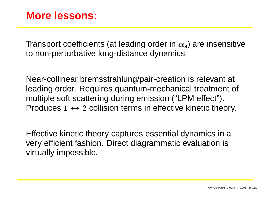Transport coefficients (at leading order in  $\alpha_{\rm s}$ ) are insensitive to non-perturbative long-distance dynamics.

Near-collinear bremsstrahlung/pair-creation is relevant at leading order. Requires quantum-mechanical treatment of multiple soft scattering during emission ("LPM effect"). Produces  $1\leftrightarrow 2$  collision terms in effective kinetic theory.

Effective kinetic theory captures essential dynamics in <sup>a</sup> very efficient fashion. Direct diagrammatic evaluation is virtually impossible.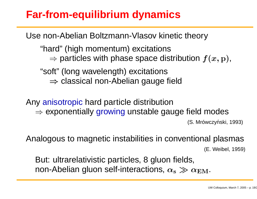# **Far-from-equilibrium dynamics**

Use non-Abelian Boltzmann-Vlasov kinetic theory

"hard" (high momentum) excitations  $\Rightarrow$  particles with phase space distribution  $f(x, \mathrm{p}),$ 

"soft" (long wavelength) excitations

 $\Rightarrow$  classical non-Abelian gauge field

Any anisotropic hard particle distribution  $\Rightarrow$  exponentially growing unstable gauge field modes (S. Mrówczyński, 1993)

Analogous to magnetic instabilities in conventional plasmas

(E. Weibel, 1959)

But: ultrarelativistic particles, 8 gluon fields, non-Abelian gluon self-interactions,  $\alpha_{\rm s} \gg \alpha_{\rm EM}.$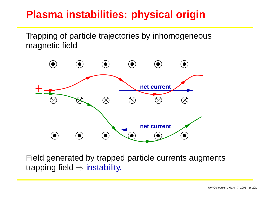# **Plasma instabilities: physical origin**

Trapping of particle trajectories by inhomogeneous magnetic field



Field generated by trapped particle currents augments trapping field  $\Rightarrow$  instability.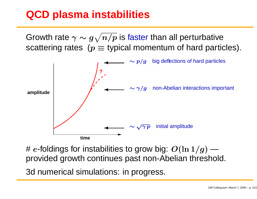# **QCD plasma instabilities**

Growth rate  $\gamma \sim g\sqrt{n/p}$  is faster than all perturbative scattering rates ( $p \equiv$  typical momentum of hard particles).



#  $e$ -foldings for instabilities to grow big:  $O(\ln 1/g)$  provided growth continues past non-Abelian threshold.

3d numerical simulations: in progress.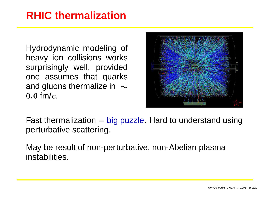## **RHIC thermalization**

Hydrodynamic modeling of heavy ion collisions works surprisingly well, provided one assumes that quarks and gluons thermalize in  $~\sim$  $0.6\ \mathsf{fm}/c$ .



Fast thermalization  $=$  big puzzle. Hard to understand using perturbative scattering.

May be result of non-perturbative, non-Abelian plasma instabilities.